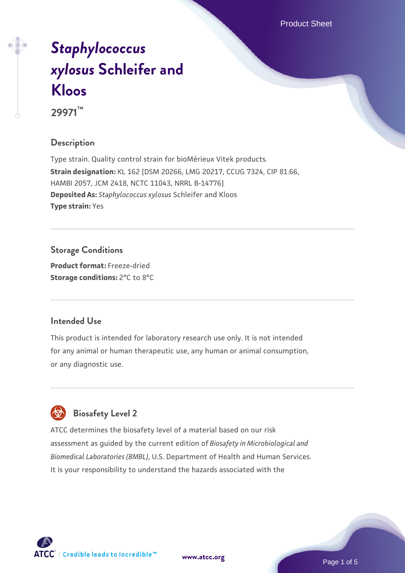Product Sheet

# *[Staphylococcus](https://www.atcc.org/products/29971) [xylosus](https://www.atcc.org/products/29971)* **[Schleifer and](https://www.atcc.org/products/29971) [Kloos](https://www.atcc.org/products/29971)**

**29971™**

# **Description**

Type strain. Quality control strain for bioMérieux Vitek products. **Strain designation:** KL 162 [DSM 20266, LMG 20217, CCUG 7324, CIP 81.66, HAMBI 2057, JCM 2418, NCTC 11043, NRRL B-14776] **Deposited As:** *Staphylococcus xylosus* Schleifer and Kloos **Type strain:** Yes

**Storage Conditions**

**Product format:** Freeze-dried **Storage conditions:** 2°C to 8°C

# **Intended Use**

This product is intended for laboratory research use only. It is not intended for any animal or human therapeutic use, any human or animal consumption, or any diagnostic use.

# **Biosafety Level 2**

ATCC determines the biosafety level of a material based on our risk assessment as guided by the current edition of *Biosafety in Microbiological and Biomedical Laboratories (BMBL)*, U.S. Department of Health and Human Services. It is your responsibility to understand the hazards associated with the

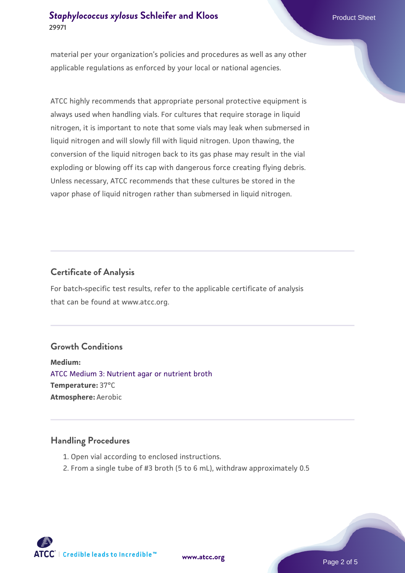material per your organization's policies and procedures as well as any other applicable regulations as enforced by your local or national agencies.

ATCC highly recommends that appropriate personal protective equipment is always used when handling vials. For cultures that require storage in liquid nitrogen, it is important to note that some vials may leak when submersed in liquid nitrogen and will slowly fill with liquid nitrogen. Upon thawing, the conversion of the liquid nitrogen back to its gas phase may result in the vial exploding or blowing off its cap with dangerous force creating flying debris. Unless necessary, ATCC recommends that these cultures be stored in the vapor phase of liquid nitrogen rather than submersed in liquid nitrogen.

# **Certificate of Analysis**

For batch-specific test results, refer to the applicable certificate of analysis that can be found at www.atcc.org.

#### **Growth Conditions**

**Medium:**  [ATCC Medium 3: Nutrient agar or nutrient broth](https://www.atcc.org/-/media/product-assets/documents/microbial-media-formulations/3/atcc-medium-3.pdf?rev=7510837507e64d849c62a46b5b2197a1) **Temperature:** 37°C **Atmosphere:** Aerobic

#### **Handling Procedures**

- 1. Open vial according to enclosed instructions.
- 2. From a single tube of #3 broth (5 to 6 mL), withdraw approximately 0.5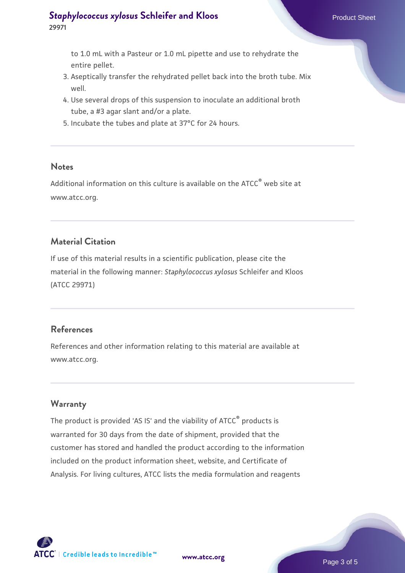to 1.0 mL with a Pasteur or 1.0 mL pipette and use to rehydrate the entire pellet.

- 3. Aseptically transfer the rehydrated pellet back into the broth tube. Mix well.
- 4. Use several drops of this suspension to inoculate an additional broth tube, a #3 agar slant and/or a plate.
- 5. Incubate the tubes and plate at 37°C for 24 hours.

#### **Notes**

Additional information on this culture is available on the ATCC<sup>®</sup> web site at www.atcc.org.

#### **Material Citation**

If use of this material results in a scientific publication, please cite the material in the following manner: *Staphylococcus xylosus* Schleifer and Kloos (ATCC 29971)

#### **References**

References and other information relating to this material are available at www.atcc.org.

# **Warranty**

The product is provided 'AS IS' and the viability of ATCC® products is warranted for 30 days from the date of shipment, provided that the customer has stored and handled the product according to the information included on the product information sheet, website, and Certificate of Analysis. For living cultures, ATCC lists the media formulation and reagents

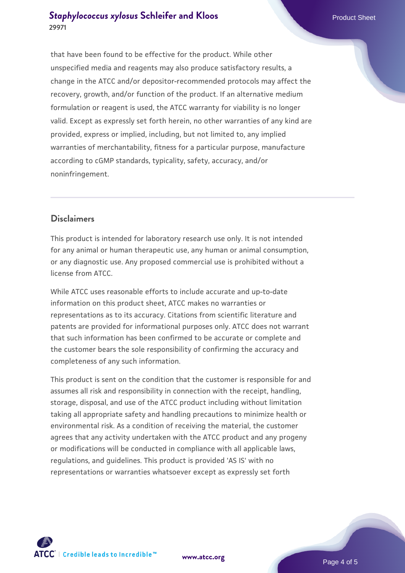that have been found to be effective for the product. While other unspecified media and reagents may also produce satisfactory results, a change in the ATCC and/or depositor-recommended protocols may affect the recovery, growth, and/or function of the product. If an alternative medium formulation or reagent is used, the ATCC warranty for viability is no longer valid. Except as expressly set forth herein, no other warranties of any kind are provided, express or implied, including, but not limited to, any implied warranties of merchantability, fitness for a particular purpose, manufacture according to cGMP standards, typicality, safety, accuracy, and/or noninfringement.

# **Disclaimers**

This product is intended for laboratory research use only. It is not intended for any animal or human therapeutic use, any human or animal consumption, or any diagnostic use. Any proposed commercial use is prohibited without a license from ATCC.

While ATCC uses reasonable efforts to include accurate and up-to-date information on this product sheet, ATCC makes no warranties or representations as to its accuracy. Citations from scientific literature and patents are provided for informational purposes only. ATCC does not warrant that such information has been confirmed to be accurate or complete and the customer bears the sole responsibility of confirming the accuracy and completeness of any such information.

This product is sent on the condition that the customer is responsible for and assumes all risk and responsibility in connection with the receipt, handling, storage, disposal, and use of the ATCC product including without limitation taking all appropriate safety and handling precautions to minimize health or environmental risk. As a condition of receiving the material, the customer agrees that any activity undertaken with the ATCC product and any progeny or modifications will be conducted in compliance with all applicable laws, regulations, and guidelines. This product is provided 'AS IS' with no representations or warranties whatsoever except as expressly set forth



**[www.atcc.org](http://www.atcc.org)**

Page 4 of 5